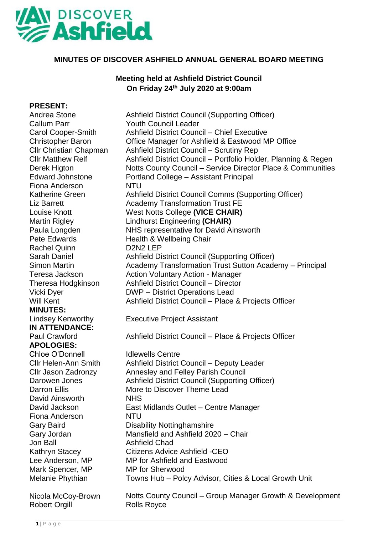

# **MINUTES OF DISCOVER ASHFIELD ANNUAL GENERAL BOARD MEETING**

# **Meeting held at Ashfield District Council On Friday 24 th July 2020 at 9:00am**

## **PRESENT:**

Andrea Stone **Ashfield District Council (Supporting Officer)** Callum Parr Youth Council Leader Carol Cooper-Smith Ashfield District Council – Chief Executive Christopher Baron Office Manager for Ashfield & Eastwood MP Office Cllr Christian Chapman **Cllr Matthew Relf** Ashfield District Council – Scrutiny Rep Ashfield District Council – Portfolio Holder, Planning & Regen Derek Higton er Fiona Anderson NTU Notts County Council – Service Director Place & Communities Edward Johnstone Portland College – Assistant Principal Katherine Green **Ashfield District Council Comms (Supporting Officer)** Liz Barrett **Academy Transformation Trust FE** Louise Knott West Notts College **(VICE CHAIR)** Martin Rigley Lindhurst Engineering **(CHAIR)** Paula Longden NHS representative for David Ainsworth Pete Edwards Health & Wellbeing Chair Rachel Quinn D2N2 LEP Sarah Daniel **Ashfield District Council (Supporting Officer)** Simon Martin **Academy Transformation Trust Sutton Academy – Principal** Teresa Jackson **Action Voluntary Action - Manager** Theresa Hodgkinson Ashfield District Council – Director Vicki Dyer **DWP** – District Operations Lead Will Kent **Ashfield District Council – Place & Projects Officer MINUTES:** Lindsey Kenworthy Executive Project Assistant **IN ATTENDANCE:** Paul Crawford **Ashfield District Council – Place & Projects Officer APOLOGIES:** Chloe O'Donnell Idlewells Centre Cllr Helen-Ann Smith Ashfield District Council – Deputy Leader Cllr Jason Zadronzy Annesley and Felley Parish Council Darowen Jones Ashfield District Council (Supporting Officer) Darron Ellis More to Discover Theme Lead David Ainsworth NHS David Jackson East Midlands Outlet – Centre Manager Fiona Anderson NTU Gary Baird **Disability Nottinghamshire** Gary Jordan Mansfield and Ashfield 2020 – Chair Jon Ball Ashfield Chad Kathryn Stacey Citizens Advice Ashfield -CEO Lee Anderson, MP MP for Ashfield and Eastwood Mark Spencer, MP MP for Sherwood Melanie Phythian Towns Hub – Polcy Advisor, Cities & Local Growth Unit Nicola McCoy-Brown Notts County Council – Group Manager Growth & Development Robert Orgill **Rolls Royce**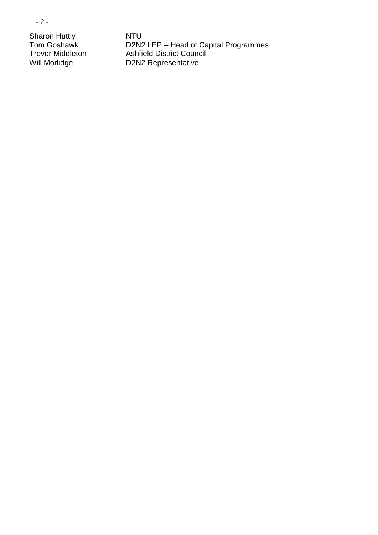- 2 -

Sharon Huttly<br>
Tom Goshawk<br>
D2N2

Tom Goshawk D2N2 LEP – Head of Capital Programmes Trevor Middleton Ashfield District Council Will Morlidge D2N2 Representative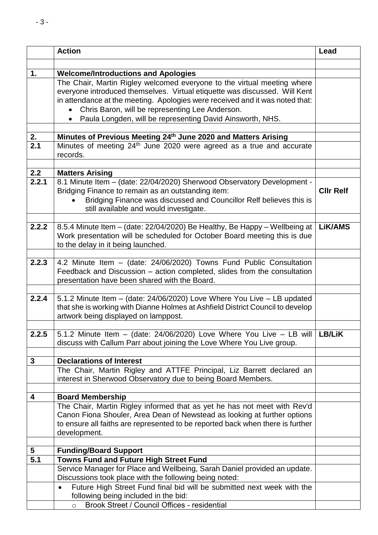|                  | <b>Action</b>                                                                                                                                              | Lead             |
|------------------|------------------------------------------------------------------------------------------------------------------------------------------------------------|------------------|
|                  |                                                                                                                                                            |                  |
| 1.               | <b>Welcome/Introductions and Apologies</b>                                                                                                                 |                  |
|                  | The Chair, Martin Rigley welcomed everyone to the virtual meeting where                                                                                    |                  |
|                  | everyone introduced themselves. Virtual etiquette was discussed. Will Kent                                                                                 |                  |
|                  | in attendance at the meeting. Apologies were received and it was noted that:                                                                               |                  |
|                  | Chris Baron, will be representing Lee Anderson.                                                                                                            |                  |
|                  | Paula Longden, will be representing David Ainsworth, NHS.                                                                                                  |                  |
| 2.               | Minutes of Previous Meeting 24th June 2020 and Matters Arising                                                                                             |                  |
| $\overline{2.1}$ | Minutes of meeting 24 <sup>th</sup> June 2020 were agreed as a true and accurate                                                                           |                  |
|                  | records.                                                                                                                                                   |                  |
|                  |                                                                                                                                                            |                  |
| 2.2              | <b>Matters Arising</b>                                                                                                                                     |                  |
| 2.2.1            | 8.1 Minute Item - (date: 22/04/2020) Sherwood Observatory Development -<br>Bridging Finance to remain as an outstanding item:                              | <b>CIIr Relf</b> |
|                  | Bridging Finance was discussed and Councillor Relf believes this is                                                                                        |                  |
|                  | still available and would investigate.                                                                                                                     |                  |
|                  |                                                                                                                                                            |                  |
| 2.2.2            | 8.5.4 Minute Item - (date: 22/04/2020) Be Healthy, Be Happy - Wellbeing at                                                                                 | <b>LiK/AMS</b>   |
|                  | Work presentation will be scheduled for October Board meeting this is due                                                                                  |                  |
|                  | to the delay in it being launched.                                                                                                                         |                  |
| 2.2.3            | 4.2 Minute Item - (date: 24/06/2020) Towns Fund Public Consultation                                                                                        |                  |
|                  | Feedback and Discussion - action completed, slides from the consultation                                                                                   |                  |
|                  | presentation have been shared with the Board.                                                                                                              |                  |
|                  |                                                                                                                                                            |                  |
| 2.2.4            | 5.1.2 Minute Item - (date: 24/06/2020) Love Where You Live - LB updated<br>that she is working with Dianne Holmes at Ashfield District Council to develop  |                  |
|                  | artwork being displayed on lamppost.                                                                                                                       |                  |
|                  |                                                                                                                                                            |                  |
| 2.2.5            | 5.1.2 Minute Item - (date: $24/06/2020$ ) Love Where You Live - LB will                                                                                    | LB/LiK           |
|                  | discuss with Callum Parr about joining the Love Where You Live group.                                                                                      |                  |
| $\mathbf{3}$     | <b>Declarations of Interest</b>                                                                                                                            |                  |
|                  | The Chair, Martin Rigley and ATTFE Principal, Liz Barrett declared an                                                                                      |                  |
|                  | interest in Sherwood Observatory due to being Board Members.                                                                                               |                  |
|                  |                                                                                                                                                            |                  |
| 4                | <b>Board Membership</b>                                                                                                                                    |                  |
|                  | The Chair, Martin Rigley informed that as yet he has not meet with Rev'd                                                                                   |                  |
|                  | Canon Fiona Shouler, Area Dean of Newstead as looking at further options<br>to ensure all faiths are represented to be reported back when there is further |                  |
|                  | development.                                                                                                                                               |                  |
|                  |                                                                                                                                                            |                  |
| 5                | <b>Funding/Board Support</b>                                                                                                                               |                  |
| 5.1              | <b>Towns Fund and Future High Street Fund</b>                                                                                                              |                  |
|                  | Service Manager for Place and Wellbeing, Sarah Daniel provided an update.<br>Discussions took place with the following being noted:                        |                  |
|                  | Future High Street Fund final bid will be submitted next week with the<br>$\bullet$                                                                        |                  |
|                  | following being included in the bid:                                                                                                                       |                  |
|                  | Brook Street / Council Offices - residential<br>$\circ$                                                                                                    |                  |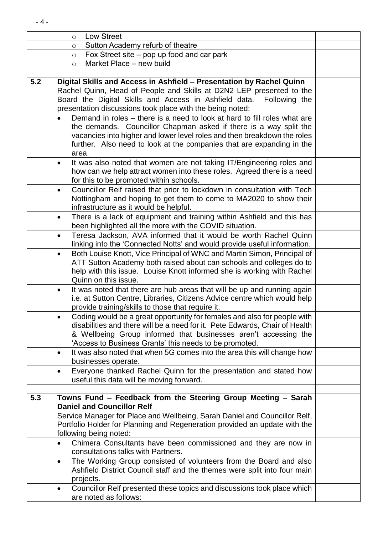|     | <b>Low Street</b><br>$\circ$                                                                                                                              |  |
|-----|-----------------------------------------------------------------------------------------------------------------------------------------------------------|--|
|     | Sutton Academy refurb of theatre<br>$\circ$                                                                                                               |  |
|     | Fox Street site – pop up food and car park<br>$\circ$                                                                                                     |  |
|     | Market Place - new build<br>$\circ$                                                                                                                       |  |
|     |                                                                                                                                                           |  |
| 5.2 | Digital Skills and Access in Ashfield - Presentation by Rachel Quinn                                                                                      |  |
|     | Rachel Quinn, Head of People and Skills at D2N2 LEP presented to the                                                                                      |  |
|     | Board the Digital Skills and Access in Ashfield data. Following the                                                                                       |  |
|     | presentation discussions took place with the being noted:                                                                                                 |  |
|     | Demand in roles – there is a need to look at hard to fill roles what are<br>$\bullet$                                                                     |  |
|     | the demands. Councillor Chapman asked if there is a way split the                                                                                         |  |
|     | vacancies into higher and lower level roles and then breakdown the roles                                                                                  |  |
|     | further. Also need to look at the companies that are expanding in the                                                                                     |  |
|     | area.                                                                                                                                                     |  |
|     | It was also noted that women are not taking IT/Engineering roles and<br>$\bullet$                                                                         |  |
|     | how can we help attract women into these roles. Agreed there is a need<br>for this to be promoted within schools.                                         |  |
|     |                                                                                                                                                           |  |
|     | Councillor Relf raised that prior to lockdown in consultation with Tech<br>$\bullet$<br>Nottingham and hoping to get them to come to MA2020 to show their |  |
|     | infrastructure as it would be helpful.                                                                                                                    |  |
|     | There is a lack of equipment and training within Ashfield and this has<br>$\bullet$                                                                       |  |
|     | been highlighted all the more with the COVID situation.                                                                                                   |  |
|     | Teresa Jackson, AVA informed that it would be worth Rachel Quinn<br>$\bullet$                                                                             |  |
|     | linking into the 'Connected Notts' and would provide useful information.                                                                                  |  |
|     | Both Louise Knott, Vice Principal of WNC and Martin Simon, Principal of<br>$\bullet$                                                                      |  |
|     | ATT Sutton Academy both raised about can schools and colleges do to                                                                                       |  |
|     | help with this issue. Louise Knott informed she is working with Rachel                                                                                    |  |
|     | Quinn on this issue.                                                                                                                                      |  |
|     | It was noted that there are hub areas that will be up and running again<br>$\bullet$                                                                      |  |
|     | i.e. at Sutton Centre, Libraries, Citizens Advice centre which would help                                                                                 |  |
|     | provide training/skills to those that require it.                                                                                                         |  |
|     | Coding would be a great opportunity for females and also for people with                                                                                  |  |
|     | disabilities and there will be a need for it. Pete Edwards, Chair of Health                                                                               |  |
|     | & Wellbeing Group informed that businesses aren't accessing the                                                                                           |  |
|     | 'Access to Business Grants' this needs to be promoted.                                                                                                    |  |
|     | It was also noted that when 5G comes into the area this will change how<br>$\bullet$                                                                      |  |
|     | businesses operate.                                                                                                                                       |  |
|     | Everyone thanked Rachel Quinn for the presentation and stated how<br>$\bullet$                                                                            |  |
|     | useful this data will be moving forward.                                                                                                                  |  |
|     |                                                                                                                                                           |  |
| 5.3 | Towns Fund - Feedback from the Steering Group Meeting - Sarah                                                                                             |  |
|     | <b>Daniel and Councillor Relf</b>                                                                                                                         |  |
|     | Service Manager for Place and Wellbeing, Sarah Daniel and Councillor Relf,                                                                                |  |
|     | Portfolio Holder for Planning and Regeneration provided an update with the                                                                                |  |
|     | following being noted:                                                                                                                                    |  |
|     | Chimera Consultants have been commissioned and they are now in<br>$\bullet$                                                                               |  |
|     | consultations talks with Partners.                                                                                                                        |  |
|     | The Working Group consisted of volunteers from the Board and also<br>$\bullet$                                                                            |  |
|     | Ashfield District Council staff and the themes were split into four main                                                                                  |  |
|     | projects.                                                                                                                                                 |  |
|     | Councillor Relf presented these topics and discussions took place which<br>٠                                                                              |  |
|     | are noted as follows:                                                                                                                                     |  |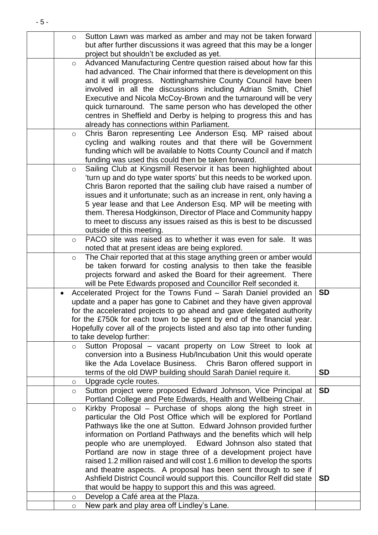| Sutton Lawn was marked as amber and may not be taken forward<br>$\circ$                                                             |           |
|-------------------------------------------------------------------------------------------------------------------------------------|-----------|
| but after further discussions it was agreed that this may be a longer                                                               |           |
| project but shouldn't be excluded as yet.                                                                                           |           |
| Advanced Manufacturing Centre question raised about how far this<br>$\circ$                                                         |           |
| had advanced. The Chair informed that there is development on this                                                                  |           |
| and it will progress. Nottinghamshire County Council have been                                                                      |           |
| involved in all the discussions including Adrian Smith, Chief                                                                       |           |
| Executive and Nicola McCoy-Brown and the turnaround will be very<br>quick turnaround. The same person who has developed the other   |           |
| centres in Sheffield and Derby is helping to progress this and has                                                                  |           |
| already has connections within Parliament.                                                                                          |           |
| Chris Baron representing Lee Anderson Esq. MP raised about<br>$\circ$                                                               |           |
| cycling and walking routes and that there will be Government                                                                        |           |
| funding which will be available to Notts County Council and if match                                                                |           |
| funding was used this could then be taken forward.                                                                                  |           |
| Sailing Club at Kingsmill Reservoir it has been highlighted about<br>$\circ$                                                        |           |
| 'turn up and do type water sports' but this needs to be worked upon.                                                                |           |
| Chris Baron reported that the sailing club have raised a number of                                                                  |           |
| issues and it unfortunate; such as an increase in rent, only having a                                                               |           |
| 5 year lease and that Lee Anderson Esq. MP will be meeting with                                                                     |           |
| them. Theresa Hodgkinson, Director of Place and Community happy                                                                     |           |
| to meet to discuss any issues raised as this is best to be discussed                                                                |           |
| outside of this meeting.                                                                                                            |           |
| PACO site was raised as to whether it was even for sale. It was<br>$\circ$                                                          |           |
| noted that at present ideas are being explored.                                                                                     |           |
| The Chair reported that at this stage anything green or amber would<br>$\circ$                                                      |           |
| be taken forward for costing analysis to then take the feasible                                                                     |           |
| projects forward and asked the Board for their agreement. There                                                                     |           |
| will be Pete Edwards proposed and Councillor Relf seconded it.                                                                      |           |
| Accelerated Project for the Towns Fund - Sarah Daniel provided an                                                                   | <b>SD</b> |
| update and a paper has gone to Cabinet and they have given approval                                                                 |           |
| for the accelerated projects to go ahead and gave delegated authority                                                               |           |
| for the £750k for each town to be spent by end of the financial year.                                                               |           |
| Hopefully cover all of the projects listed and also tap into other funding                                                          |           |
| to take develop further:                                                                                                            |           |
| Sutton Proposal - vacant property on Low Street to look at<br>$\circ$                                                               |           |
| conversion into a Business Hub/Incubation Unit this would operate<br>like the Ada Lovelace Business. Chris Baron offered support in |           |
| terms of the old DWP building should Sarah Daniel require it.                                                                       | <b>SD</b> |
| Upgrade cycle routes.<br>$\circ$                                                                                                    |           |
| Sutton project were proposed Edward Johnson, Vice Principal at<br>$\circ$                                                           | <b>SD</b> |
| Portland College and Pete Edwards, Health and Wellbeing Chair.                                                                      |           |
| Kirkby Proposal - Purchase of shops along the high street in<br>$\circ$                                                             |           |
| particular the Old Post Office which will be explored for Portland                                                                  |           |
| Pathways like the one at Sutton. Edward Johnson provided further                                                                    |           |
| information on Portland Pathways and the benefits which will help                                                                   |           |
| people who are unemployed. Edward Johnson also stated that                                                                          |           |
| Portland are now in stage three of a development project have                                                                       |           |
| raised 1.2 million raised and will cost 1.6 million to develop the sports                                                           |           |
| and theatre aspects. A proposal has been sent through to see if                                                                     |           |
| Ashfield District Council would support this. Councillor Relf did state                                                             | <b>SD</b> |
| that would be happy to support this and this was agreed.                                                                            |           |
| Develop a Café area at the Plaza.<br>$\circlearrowright$                                                                            |           |
| New park and play area off Lindley's Lane.<br>$\circ$                                                                               |           |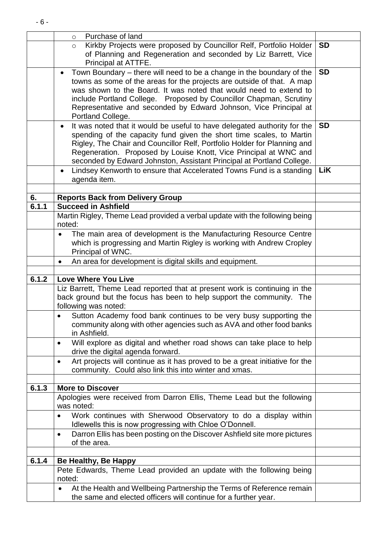|       | Purchase of land<br>$\circ$                                                                                                                         |           |
|-------|-----------------------------------------------------------------------------------------------------------------------------------------------------|-----------|
|       | Kirkby Projects were proposed by Councillor Relf, Portfolio Holder<br>$\circ$                                                                       | <b>SD</b> |
|       | of Planning and Regeneration and seconded by Liz Barrett, Vice                                                                                      |           |
|       | Principal at ATTFE.                                                                                                                                 |           |
|       | Town Boundary – there will need to be a change in the boundary of the<br>$\bullet$                                                                  | <b>SD</b> |
|       | towns as some of the areas for the projects are outside of that. A map<br>was shown to the Board. It was noted that would need to extend to         |           |
|       | include Portland College. Proposed by Councillor Chapman, Scrutiny                                                                                  |           |
|       | Representative and seconded by Edward Johnson, Vice Principal at                                                                                    |           |
|       | Portland College.                                                                                                                                   |           |
|       | It was noted that it would be useful to have delegated authority for the<br>$\bullet$                                                               | <b>SD</b> |
|       | spending of the capacity fund given the short time scales, to Martin                                                                                |           |
|       | Rigley, The Chair and Councillor Relf, Portfolio Holder for Planning and                                                                            |           |
|       | Regeneration. Proposed by Louise Knott, Vice Principal at WNC and                                                                                   |           |
|       | seconded by Edward Johnston, Assistant Principal at Portland College.                                                                               |           |
|       | Lindsey Kenworth to ensure that Accelerated Towns Fund is a standing<br>$\bullet$<br>agenda item.                                                   | LiK       |
|       |                                                                                                                                                     |           |
| 6.    | <b>Reports Back from Delivery Group</b>                                                                                                             |           |
| 6.1.1 | <b>Succeed in Ashfield</b>                                                                                                                          |           |
|       | Martin Rigley, Theme Lead provided a verbal update with the following being                                                                         |           |
|       | noted:                                                                                                                                              |           |
|       | The main area of development is the Manufacturing Resource Centre<br>٠                                                                              |           |
|       | which is progressing and Martin Rigley is working with Andrew Cropley                                                                               |           |
|       | Principal of WNC.                                                                                                                                   |           |
|       | An area for development is digital skills and equipment.<br>$\bullet$                                                                               |           |
| 6.1.2 | <b>Love Where You Live</b>                                                                                                                          |           |
|       |                                                                                                                                                     |           |
|       |                                                                                                                                                     |           |
|       | Liz Barrett, Theme Lead reported that at present work is continuing in the<br>back ground but the focus has been to help support the community. The |           |
|       | following was noted:                                                                                                                                |           |
|       | Sutton Academy food bank continues to be very busy supporting the                                                                                   |           |
|       | community along with other agencies such as AVA and other food banks                                                                                |           |
|       | in Ashfield.                                                                                                                                        |           |
|       | Will explore as digital and whether road shows can take place to help<br>٠                                                                          |           |
|       | drive the digital agenda forward.                                                                                                                   |           |
|       | Art projects will continue as it has proved to be a great initiative for the<br>٠                                                                   |           |
|       | community. Could also link this into winter and xmas.                                                                                               |           |
| 6.1.3 | <b>More to Discover</b>                                                                                                                             |           |
|       | Apologies were received from Darron Ellis, Theme Lead but the following                                                                             |           |
|       | was noted:                                                                                                                                          |           |
|       | Work continues with Sherwood Observatory to do a display within<br>$\bullet$                                                                        |           |
|       | Idlewells this is now progressing with Chloe O'Donnell.                                                                                             |           |
|       | Darron Ellis has been posting on the Discover Ashfield site more pictures<br>$\bullet$                                                              |           |
|       | of the area.                                                                                                                                        |           |
| 6.1.4 |                                                                                                                                                     |           |
|       | Be Healthy, Be Happy                                                                                                                                |           |
|       | Pete Edwards, Theme Lead provided an update with the following being<br>noted:                                                                      |           |
|       | At the Health and Wellbeing Partnership the Terms of Reference remain                                                                               |           |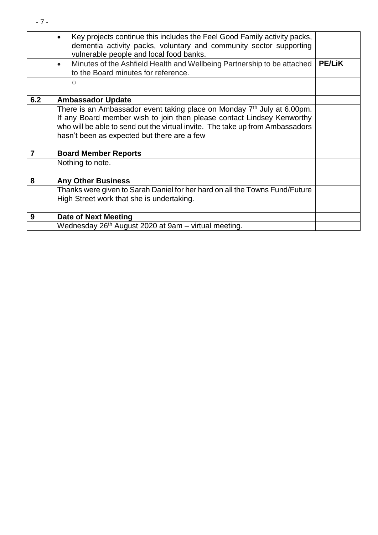|     | Key projects continue this includes the Feel Good Family activity packs,<br>dementia activity packs, voluntary and community sector supporting<br>vulnerable people and local food banks. |               |
|-----|-------------------------------------------------------------------------------------------------------------------------------------------------------------------------------------------|---------------|
|     | Minutes of the Ashfield Health and Wellbeing Partnership to be attached<br>$\bullet$<br>to the Board minutes for reference.                                                               | <b>PE/LIK</b> |
|     | $\circ$                                                                                                                                                                                   |               |
|     |                                                                                                                                                                                           |               |
| 6.2 | <b>Ambassador Update</b>                                                                                                                                                                  |               |
|     | There is an Ambassador event taking place on Monday $7th$ July at 6.00pm.                                                                                                                 |               |
|     | If any Board member wish to join then please contact Lindsey Kenworthy                                                                                                                    |               |
|     | who will be able to send out the virtual invite. The take up from Ambassadors                                                                                                             |               |
|     | hasn't been as expected but there are a few                                                                                                                                               |               |
|     |                                                                                                                                                                                           |               |
| 7   | <b>Board Member Reports</b>                                                                                                                                                               |               |
|     | Nothing to note.                                                                                                                                                                          |               |
|     |                                                                                                                                                                                           |               |
| 8   | <b>Any Other Business</b>                                                                                                                                                                 |               |
|     | Thanks were given to Sarah Daniel for her hard on all the Towns Fund/Future                                                                                                               |               |
|     | High Street work that she is undertaking.                                                                                                                                                 |               |
|     |                                                                                                                                                                                           |               |
| 9   | <b>Date of Next Meeting</b>                                                                                                                                                               |               |
|     | Wednesday 26 <sup>th</sup> August 2020 at 9am – virtual meeting.                                                                                                                          |               |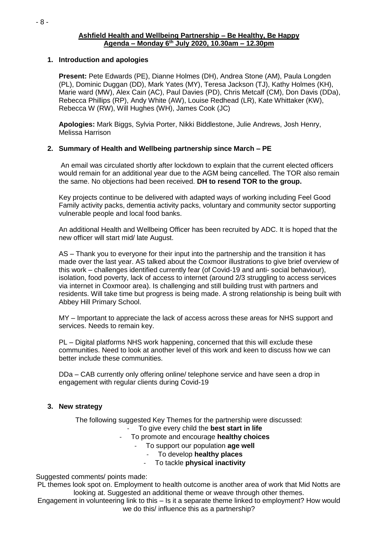#### **Ashfield Health and Wellbeing Partnership – Be Healthy, Be Happy Agenda – Monday 6th July 2020, 10.30am – 12.30pm**

## **1. Introduction and apologies**

**Present:** Pete Edwards (PE), Dianne Holmes (DH), Andrea Stone (AM), Paula Longden (PL), Dominic Duggan (DD), Mark Yates (MY), Teresa Jackson (TJ), Kathy Holmes (KH), Marie ward (MW), Alex Cain (AC), Paul Davies (PD), Chris Metcalf (CM), Don Davis (DDa), Rebecca Phillips (RP), Andy White (AW), Louise Redhead (LR), Kate Whittaker (KW), Rebecca W (RW), Will Hughes (WH), James Cook (JC)

**Apologies:** Mark Biggs, Sylvia Porter, Nikki Biddlestone, Julie Andrews, Josh Henry, Melissa Harrison

# **2. Summary of Health and Wellbeing partnership since March – PE**

An email was circulated shortly after lockdown to explain that the current elected officers would remain for an additional year due to the AGM being cancelled. The TOR also remain the same. No objections had been received. **DH to resend TOR to the group.**

Key projects continue to be delivered with adapted ways of working including Feel Good Family activity packs, dementia activity packs, voluntary and community sector supporting vulnerable people and local food banks.

An additional Health and Wellbeing Officer has been recruited by ADC. It is hoped that the new officer will start mid/ late August.

AS – Thank you to everyone for their input into the partnership and the transition it has made over the last year. AS talked about the Coxmoor illustrations to give brief overview of this work – challenges identified currently fear (of Covid-19 and anti- social behaviour), isolation, food poverty, lack of access to internet (around 2/3 struggling to access services via internet in Coxmoor area). Is challenging and still building trust with partners and residents. Will take time but progress is being made. A strong relationship is being built with Abbey Hill Primary School.

MY – Important to appreciate the lack of access across these areas for NHS support and services. Needs to remain key.

PL – Digital platforms NHS work happening, concerned that this will exclude these communities. Need to look at another level of this work and keen to discuss how we can better include these communities.

DDa – CAB currently only offering online/ telephone service and have seen a drop in engagement with regular clients during Covid-19

#### **3. New strategy**

The following suggested Key Themes for the partnership were discussed:

- To give every child the **best start in life**

- To promote and encourage **healthy choices**
	- To support our population **age well**
		- To develop **healthy places**
		- To tackle **physical inactivity**

#### Suggested comments/ points made:

PL themes look spot on. Employment to health outcome is another area of work that Mid Notts are looking at. Suggested an additional theme or weave through other themes.

Engagement in volunteering link to this – Is it a separate theme linked to employment? How would we do this/ influence this as a partnership?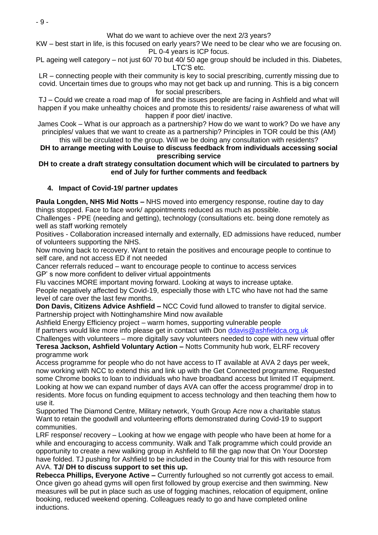What do we want to achieve over the next 2/3 years?

KW – best start in life, is this focused on early years? We need to be clear who we are focusing on. PL 0-4 years is ICP focus.

PL ageing well category – not just 60/ 70 but 40/ 50 age group should be included in this. Diabetes, LTC'S etc.

LR – connecting people with their community is key to social prescribing, currently missing due to covid. Uncertain times due to groups who may not get back up and running. This is a big concern for social prescribers.

TJ – Could we create a road map of life and the issues people are facing in Ashfield and what will happen if you make unhealthy choices and promote this to residents/ raise awareness of what will happen if poor diet/ inactive.

James Cook – What is our approach as a partnership? How do we want to work? Do we have any principles/ values that we want to create as a partnership? Principles in TOR could be this (AM)

this will be circulated to the group. Will we be doing any consultation with residents? **DH to arrange meeting with Louise to discuss feedback from individuals accessing social prescribing service**

## **DH to create a draft strategy consultation document which will be circulated to partners by end of July for further comments and feedback**

# **4. Impact of Covid-19/ partner updates**

**Paula Longden, NHS Mid Notts –** NHS moved into emergency response, routine day to day things stopped. Face to face work/ appointments reduced as much as possible.

Challenges - PPE (needing and getting), technology (consultations etc. being done remotely as well as staff working remotely

Positives - Collaboration increased internally and externally, ED admissions have reduced, number of volunteers supporting the NHS.

Now moving back to recovery. Want to retain the positives and encourage people to continue to self care, and not access ED if not needed

Cancer referrals reduced – want to encourage people to continue to access services GP' s now more confident to deliver virtual appointments

Flu vaccines MORE important moving forward. Looking at ways to increase uptake.

People negatively affected by Covid-19, especially those with LTC who have not had the same level of care over the last few months.

**Don Davis, Citizens Advice Ashfield –** NCC Covid fund allowed to transfer to digital service. Partnership project with Nottinghamshire Mind now available

Ashfield Energy Efficiency project – warm homes, supporting vulnerable people

If partners would like more info please get in contact with Don [ddavis@ashfieldca.org.uk](mailto:ddavis@ashfieldca.org.uk)

Challenges with volunteers – more digitally savy volunteers needed to cope with new virtual offer **Teresa Jackson, Ashfield Voluntary Action –** Notts Community hub work, ELRF recovery programme work

Access programme for people who do not have access to IT available at AVA 2 days per week, now working with NCC to extend this and link up with the Get Connected programme. Requested some Chrome books to loan to individuals who have broadband access but limited IT equipment. Looking at how we can expand number of days AVA can offer the access programme/ drop in to residents. More focus on funding equipment to access technology and then teaching them how to use it.

Supported The Diamond Centre, Military network, Youth Group Acre now a charitable status Want to retain the goodwill and volunteering efforts demonstrated during Covid-19 to support communities.

LRF response/ recovery – Looking at how we engage with people who have been at home for a while and encouraging to access community. Walk and Talk programme which could provide an opportunity to create a new walking group in Ashfield to fill the gap now that On Your Doorstep have folded. TJ pushing for Ashfield to be included in the County trial for this with resource from AVA. **TJ/ DH to discuss support to set this up.**

**Rebecca Phillips, Everyone Active –** Currently furloughed so not currently got access to email. Once given go ahead gyms will open first followed by group exercise and then swimming. New measures will be put in place such as use of fogging machines, relocation of equipment, online booking, reduced weekend opening. Colleagues ready to go and have completed online inductions.